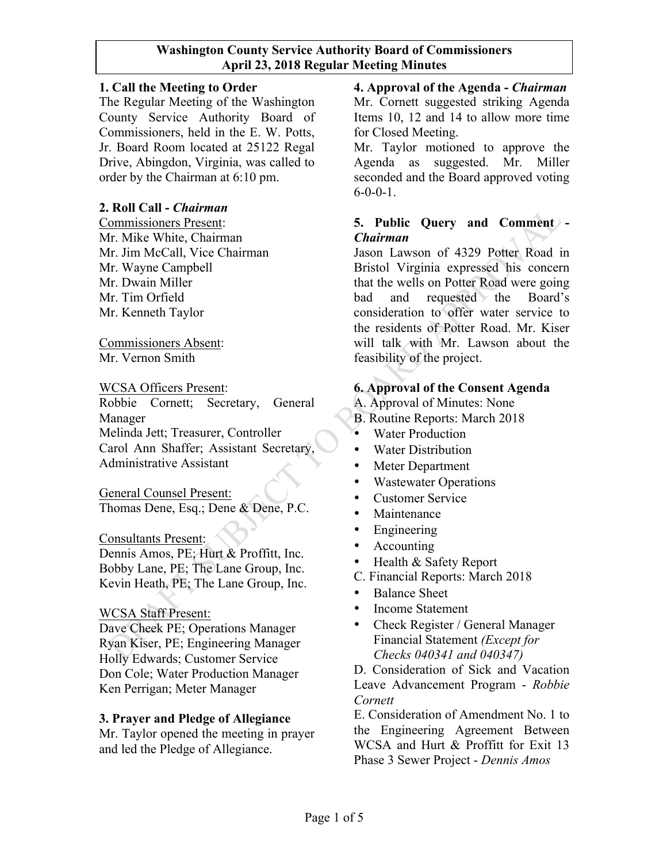### **1. Call the Meeting to Order**

The Regular Meeting of the Washington County Service Authority Board of Commissioners, held in the E. W. Potts, Jr. Board Room located at 25122 Regal Drive, Abingdon, Virginia, was called to order by the Chairman at 6:10 pm.

### **2. Roll Call -** *Chairman*

Commissioners Present: Mr. Mike White, Chairman Mr. Jim McCall, Vice Chairman Mr. Wayne Campbell Mr. Dwain Miller Mr. Tim Orfield Mr. Kenneth Taylor

Commissioners Absent: Mr. Vernon Smith

#### WCSA Officers Present:

Robbie Cornett; Secretary, General Manager Melinda Jett; Treasurer, Controller Carol Ann Shaffer; Assistant Secretary, Administrative Assistant

General Counsel Present: Thomas Dene, Esq.; Dene & Dene, P.C.

#### Consultants Present:

Dennis Amos, PE; Hurt & Proffitt, Inc. Bobby Lane, PE; The Lane Group, Inc. Kevin Heath, PE; The Lane Group, Inc.

### WCSA Staff Present:

Dave Cheek PE; Operations Manager Ryan Kiser, PE; Engineering Manager Holly Edwards; Customer Service Don Cole; Water Production Manager Ken Perrigan; Meter Manager

#### **3. Prayer and Pledge of Allegiance**

Mr. Taylor opened the meeting in prayer and led the Pledge of Allegiance.

**4. Approval of the Agenda -** *Chairman* Mr. Cornett suggested striking Agenda Items 10, 12 and 14 to allow more time for Closed Meeting.

Mr. Taylor motioned to approve the Agenda as suggested. Mr. Miller seconded and the Board approved voting  $6 - 0 - 0 - 1$ .

# **5. Public Query and Comment -** *Chairman*

Jason Lawson of 4329 Potter Road in Bristol Virginia expressed his concern that the wells on Potter Road were going bad and requested the Board's consideration to offer water service to the residents of Potter Road. Mr. Kiser will talk with Mr. Lawson about the feasibility of the project.

### **6. Approval of the Consent Agenda**

A. Approval of Minutes: None

- B. Routine Reports: March 2018
- Water Production
- Water Distribution
- Meter Department
- Wastewater Operations
- Customer Service
- Maintenance
- Engineering
- Accounting
- Health & Safety Report
- C. Financial Reports: March 2018
- Balance Sheet
- Income Statement
- Check Register / General Manager Financial Statement *(Except for Checks 040341 and 040347)*

D. Consideration of Sick and Vacation Leave Advancement Program - *Robbie Cornett*

E. Consideration of Amendment No. 1 to the Engineering Agreement Between WCSA and Hurt & Proffitt for Exit 13 Phase 3 Sewer Project - *Dennis Amos*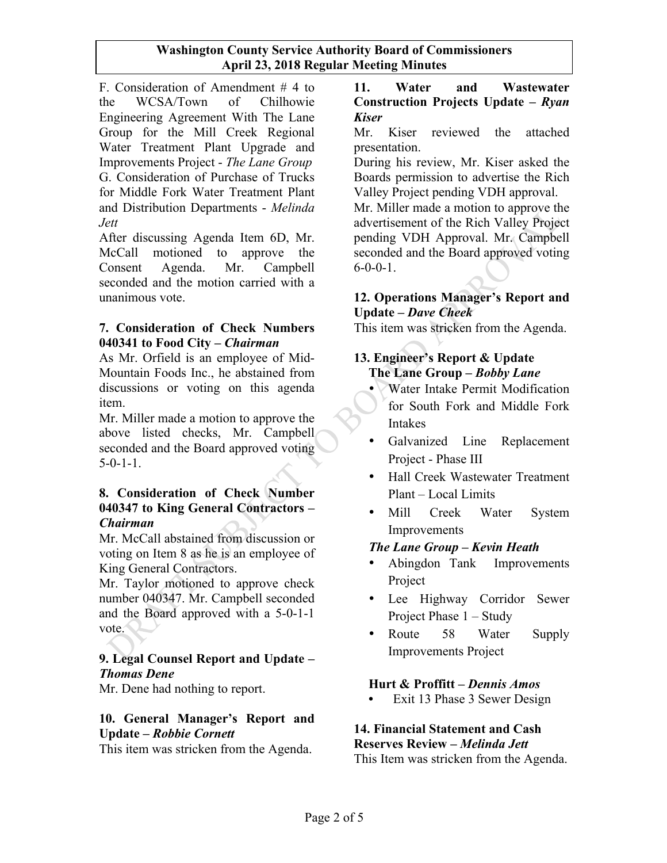F. Consideration of Amendment # 4 to the WCSA/Town of Chilhowie Engineering Agreement With The Lane Group for the Mill Creek Regional Water Treatment Plant Upgrade and Improvements Project - *The Lane Group* G. Consideration of Purchase of Trucks for Middle Fork Water Treatment Plant and Distribution Departments - *Melinda Jett*

After discussing Agenda Item 6D, Mr. McCall motioned to approve the Consent Agenda. Mr. Campbell seconded and the motion carried with a unanimous vote.

#### **7. Consideration of Check Numbers 040341 to Food City –** *Chairman*

As Mr. Orfield is an employee of Mid-Mountain Foods Inc., he abstained from discussions or voting on this agenda item.

Mr. Miller made a motion to approve the above listed checks, Mr. Campbell seconded and the Board approved voting  $5-0-1-1$ .

#### **8. Consideration of Check Number 040347 to King General Contractors –** *Chairman*

Mr. McCall abstained from discussion or voting on Item 8 as he is an employee of King General Contractors.

Mr. Taylor motioned to approve check number 040347. Mr. Campbell seconded and the Board approved with a 5-0-1-1 vote.

### **9. Legal Counsel Report and Update –** *Thomas Dene*

Mr. Dene had nothing to report.

# **10. General Manager's Report and Update –** *Robbie Cornett*

This item was stricken from the Agenda.

## **11. Water and Wastewater Construction Projects Update –** *Ryan Kiser*

Mr. Kiser reviewed the attached presentation.

During his review, Mr. Kiser asked the Boards permission to advertise the Rich Valley Project pending VDH approval.

Mr. Miller made a motion to approve the advertisement of the Rich Valley Project pending VDH Approval. Mr. Campbell seconded and the Board approved voting  $6 - 0 - 0 - 1$ .

## **12. Operations Manager's Report and Update –** *Dave Cheek*

This item was stricken from the Agenda.

# **13. Engineer's Report & Update The Lane Group –** *Bobby Lane*

- Water Intake Permit Modification for South Fork and Middle Fork Intakes
- Galvanized Line Replacement Project - Phase III
- Hall Creek Wastewater Treatment Plant – Local Limits
- Mill Creek Water System Improvements

# *The Lane Group – Kevin Heath*

- Abingdon Tank Improvements Project
- Lee Highway Corridor Sewer Project Phase 1 – Study
- Route 58 Water Supply Improvements Project

# **Hurt & Proffitt –** *Dennis Amos*

**•** Exit 13 Phase 3 Sewer Design

#### **14. Financial Statement and Cash Reserves Review –** *Melinda Jett*

This Item was stricken from the Agenda.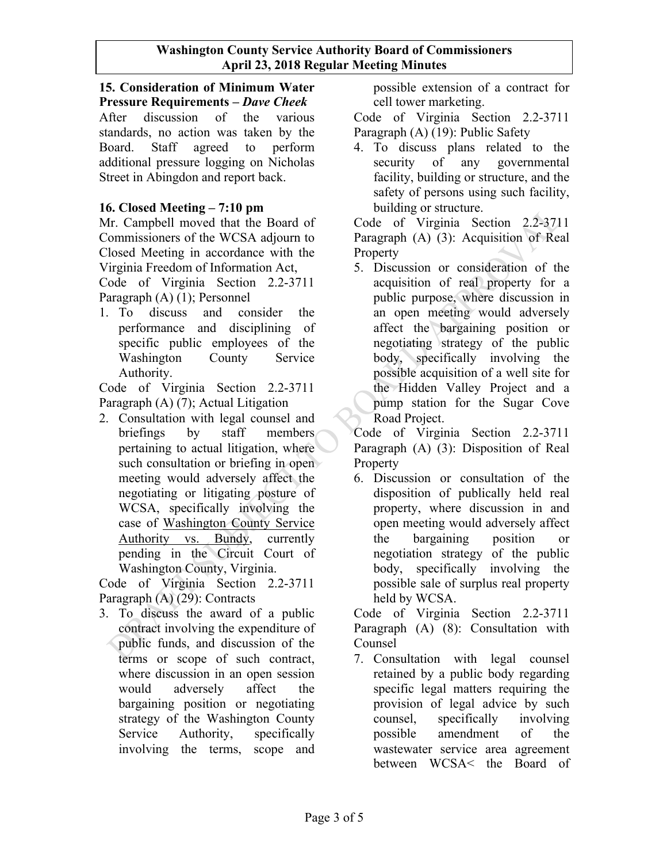### **15. Consideration of Minimum Water Pressure Requirements –** *Dave Cheek*

After discussion of the various standards, no action was taken by the Board. Staff agreed to perform additional pressure logging on Nicholas Street in Abingdon and report back.

# **16. Closed Meeting – 7:10 pm**

Mr. Campbell moved that the Board of Commissioners of the WCSA adjourn to Closed Meeting in accordance with the Virginia Freedom of Information Act,

Code of Virginia Section 2.2-3711 Paragraph (A) (1); Personnel

1. To discuss and consider the performance and disciplining of specific public employees of the Washington County Service Authority.

Code of Virginia Section 2.2-3711 Paragraph (A) (7); Actual Litigation

2. Consultation with legal counsel and briefings by staff members pertaining to actual litigation, where such consultation or briefing in open meeting would adversely affect the negotiating or litigating posture of WCSA, specifically involving the case of Washington County Service Authority vs. Bundy, currently pending in the Circuit Court of Washington County, Virginia.

Code of Virginia Section 2.2-3711 Paragraph (A) (29): Contracts

3. To discuss the award of a public contract involving the expenditure of public funds, and discussion of the terms or scope of such contract, where discussion in an open session would adversely affect the bargaining position or negotiating strategy of the Washington County Service Authority, specifically involving the terms, scope and

possible extension of a contract for cell tower marketing.

Code of Virginia Section 2.2-3711 Paragraph (A) (19): Public Safety

4. To discuss plans related to the security of any governmental facility, building or structure, and the safety of persons using such facility, building or structure.

Code of Virginia Section 2.2-3711 Paragraph (A) (3): Acquisition of Real Property

5. Discussion or consideration of the acquisition of real property for a public purpose, where discussion in an open meeting would adversely affect the bargaining position or negotiating strategy of the public body, specifically involving the possible acquisition of a well site for the Hidden Valley Project and a pump station for the Sugar Cove Road Project.

Code of Virginia Section 2.2-3711 Paragraph (A) (3): Disposition of Real **Property** 

6. Discussion or consultation of the disposition of publically held real property, where discussion in and open meeting would adversely affect the bargaining position or negotiation strategy of the public body, specifically involving the possible sale of surplus real property held by WCSA.

Code of Virginia Section 2.2-3711 Paragraph (A) (8): Consultation with Counsel

7. Consultation with legal counsel retained by a public body regarding specific legal matters requiring the provision of legal advice by such counsel, specifically involving possible amendment of the wastewater service area agreement between WCSA< the Board of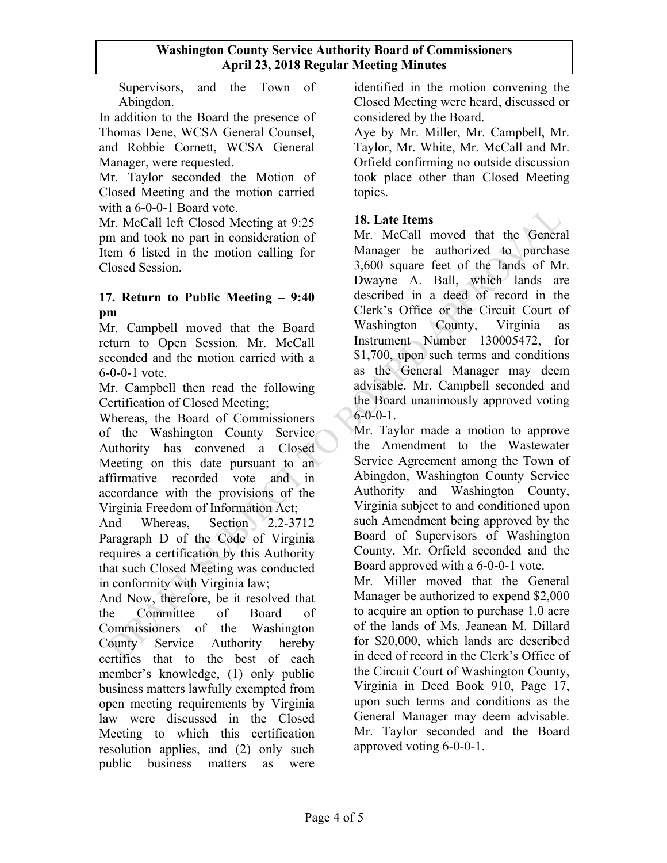Supervisors, and the Town of Abingdon.

In addition to the Board the presence of Thomas Dene, WCSA General Counsel, and Robbie Cornett, WCSA General Manager, were requested.

Mr. Taylor seconded the Motion of Closed Meeting and the motion carried with a 6-0-0-1 Board vote.

Mr. McCall left Closed Meeting at 9:25 pm and took no part in consideration of Item 6 listed in the motion calling for Closed Session.

### **17. Return to Public Meeting – 9:40 pm**

Mr. Campbell moved that the Board return to Open Session. Mr. McCall seconded and the motion carried with a 6-0-0-1 vote.

Mr. Campbell then read the following Certification of Closed Meeting;

Whereas, the Board of Commissioners of the Washington County Service Authority has convened a Closed Meeting on this date pursuant to an affirmative recorded vote and in accordance with the provisions of the Virginia Freedom of Information Act;

And Whereas, Section 2.2-3712 Paragraph D of the Code of Virginia requires a certification by this Authority that such Closed Meeting was conducted in conformity with Virginia law;

And Now, therefore, be it resolved that the Committee of Board of Commissioners of the Washington County Service Authority hereby certifies that to the best of each member's knowledge, (1) only public business matters lawfully exempted from open meeting requirements by Virginia law were discussed in the Closed Meeting to which this certification resolution applies, and (2) only such public business matters as were

identified in the motion convening the Closed Meeting were heard, discussed or considered by the Board.

Aye by Mr. Miller, Mr. Campbell, Mr. Taylor, Mr. White, Mr. McCall and Mr. Orfield confirming no outside discussion took place other than Closed Meeting topics.

# **18. Late Items**

Mr. McCall moved that the General Manager be authorized to purchase 3,600 square feet of the lands of Mr. Dwayne A. Ball, which lands are described in a deed of record in the Clerk's Office or the Circuit Court of Washington County, Virginia as Instrument Number 130005472, for \$1,700, upon such terms and conditions as the General Manager may deem advisable. Mr. Campbell seconded and the Board unanimously approved voting  $6 - 0 - 0 - 1$ .

Mr. Taylor made a motion to approve the Amendment to the Wastewater Service Agreement among the Town of Abingdon, Washington County Service Authority and Washington County, Virginia subject to and conditioned upon such Amendment being approved by the Board of Supervisors of Washington County. Mr. Orfield seconded and the Board approved with a 6-0-0-1 vote.

Mr. Miller moved that the General Manager be authorized to expend \$2,000 to acquire an option to purchase 1.0 acre of the lands of Ms. Jeanean M. Dillard for \$20,000, which lands are described in deed of record in the Clerk's Office of the Circuit Court of Washington County, Virginia in Deed Book 910, Page 17, upon such terms and conditions as the General Manager may deem advisable. Mr. Taylor seconded and the Board approved voting 6-0-0-1.